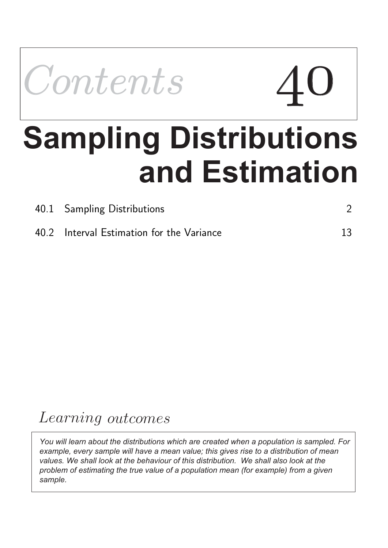

# **and Estimation Sampling Distributions**

| 40.1 Sampling Distributions               |    |
|-------------------------------------------|----|
| 40.2 Interval Estimation for the Variance | 13 |

# Learning outcomes

*You will learn about the distributions which are created when a population is sampled. For example, every sample will have a mean value; this gives rise to a distribution of mean values. We shall look at the behaviour of this distribution. We shall also look at the problem of estimating the true value of a population mean (for example) from a given sample.*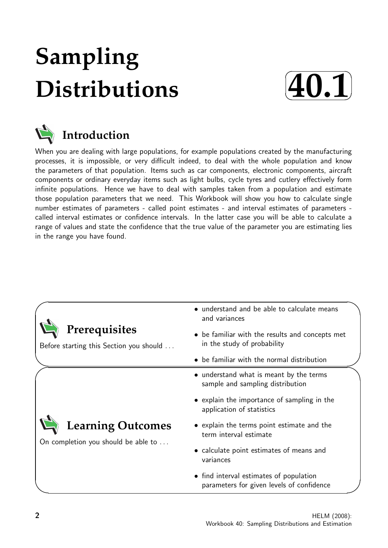# **Sampling Distributions**





When you are dealing with large populations, for example populations created by the manufacturing processes, it is impossible, or very difficult indeed, to deal with the whole population and know the parameters of that population. Items such as car components, electronic components, aircraft components or ordinary everyday items such as light bulbs, cycle tyres and cutlery effectively form infinite populations. Hence we have to deal with samples taken from a population and estimate those population parameters that we need. This Workbook will show you how to calculate single number estimates of parameters - called point estimates - and interval estimates of parameters called interval estimates or confidence intervals. In the latter case you will be able to calculate a range of values and state the confidence that the true value of the parameter you are estimating lies in the range you have found.

| Prerequisites<br>Before starting this Section you should | • understand and be able to calculate means<br>and variances<br>• be familiar with the results and concepts met<br>in the study of probability |  |  |  |  |
|----------------------------------------------------------|------------------------------------------------------------------------------------------------------------------------------------------------|--|--|--|--|
|                                                          | • be familiar with the normal distribution                                                                                                     |  |  |  |  |
|                                                          | • understand what is meant by the terms<br>sample and sampling distribution                                                                    |  |  |  |  |
|                                                          | • explain the importance of sampling in the<br>application of statistics                                                                       |  |  |  |  |
| <b>Learning Outcomes</b>                                 | • explain the terms point estimate and the<br>term interval estimate                                                                           |  |  |  |  |
| On completion you should be able to                      | • calculate point estimates of means and<br>variances                                                                                          |  |  |  |  |
|                                                          | • find interval estimates of population<br>parameters for given levels of confidence                                                           |  |  |  |  |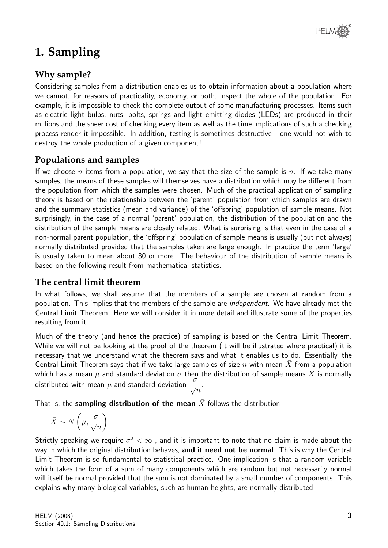

# **1. Sampling**

## **Why sample?**

Considering samples from a distribution enables us to obtain information about a population where we cannot, for reasons of practicality, economy, or both, inspect the whole of the population. For example, it is impossible to check the complete output of some manufacturing processes. Items such as electric light bulbs, nuts, bolts, springs and light emitting diodes (LEDs) are produced in their millions and the sheer cost of checking every item as well as the time implications of such a checking process render it impossible. In addition, testing is sometimes destructive - one would not wish to destroy the whole production of a given component!

## **Populations and samples**

If we choose n items from a population, we say that the size of the sample is n. If we take many samples, the means of these samples will themselves have a distribution which may be different from the population from which the samples were chosen. Much of the practical application of sampling theory is based on the relationship between the 'parent' population from which samples are drawn and the summary statistics (mean and variance) of the 'offspring' population of sample means. Not surprisingly, in the case of a normal 'parent' population, the distribution of the population and the distribution of the sample means are closely related. What is surprising is that even in the case of a non-normal parent population, the 'offspring' population of sample means is usually (but not always) normally distributed provided that the samples taken are large enough. In practice the term 'large' is usually taken to mean about 30 or more. The behaviour of the distribution of sample means is based on the following result from mathematical statistics.

### **The central limit theorem**

In what follows, we shall assume that the members of a sample are chosen at random from a population. This implies that the members of the sample are independent. We have already met the Central Limit Theorem. Here we will consider it in more detail and illustrate some of the properties resulting from it.

Much of the theory (and hence the practice) of sampling is based on the Central Limit Theorem. While we will not be looking at the proof of the theorem (it will be illustrated where practical) it is necessary that we understand what the theorem says and what it enables us to do. Essentially, the Central Limit Theorem says that if we take large samples of size n with mean X from a population which has a mean  $\mu$  and standard deviation  $\sigma$  then the distribution of sample means  $\bar{X}$  is normally distributed with mean  $\mu$  and standard deviation  $\frac{\sigma}{\sigma}$  $\overline{n}$ .

That is, the sampling distribution of the mean  $\bar{X}$  follows the distribution

$$
\bar{X} \sim N\left(\mu, \frac{\sigma}{\sqrt{n}}\right)
$$

Strictly speaking we require  $\sigma^2<\infty$  , and it is important to note that no claim is made about the way in which the original distribution behaves, and it need not be normal. This is why the Central Limit Theorem is so fundamental to statistical practice. One implication is that a random variable which takes the form of a sum of many components which are random but not necessarily normal will itself be normal provided that the sum is not dominated by a small number of components. This explains why many biological variables, such as human heights, are normally distributed.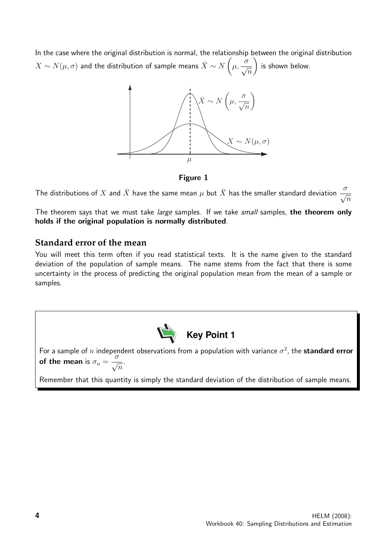In the case where the original distribution is normal, the relationship between the original distribution  $X \sim N(\mu,\sigma)$  and the distribution of sample means  $\bar{X} \sim N \left( \frac{d}{d\mu} \right)$  $\mu,$  $\frac{\sigma}{\sigma}$  $\overline{n}$  $\setminus$ is shown below.



Figure 1

The distributions of  $X$  and  $\bar{X}$  have the same mean  $\mu$  but  $\bar{X}$  has the smaller standard deviation  $\frac{\sigma}{\sqrt{2}}$  $\overline{n}$ 

The theorem says that we must take large samples. If we take small samples, the theorem only holds if the original population is normally distributed.

#### **Standard error of the mean**

You will meet this term often if you read statistical texts. It is the name given to the standard deviation of the population of sample means. The name stems from the fact that there is some uncertainty in the process of predicting the original population mean from the mean of a sample or samples.



For a sample of n independent observations from a population with variance  $\sigma^2$ , the standard error of the mean is  $\sigma_n =$  $\frac{\sigma}{\sigma}$  $\overline{n}$ .

Remember that this quantity is simply the standard deviation of the distribution of sample means.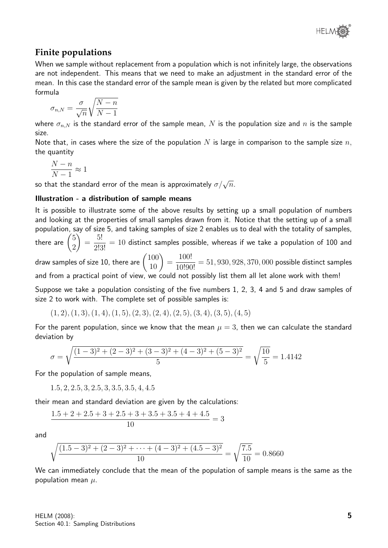### **Finite populations**

When we sample without replacement from a population which is not infinitely large, the observations are not independent. This means that we need to make an adjustment in the standard error of the mean. In this case the standard error of the sample mean is given by the related but more complicated formula

$$
\sigma_{n,N} = \frac{\sigma}{\sqrt{n}} \sqrt{\frac{N-n}{N-1}}
$$

where  $\sigma_{n,N}$  is the standard error of the sample mean, N is the population size and n is the sample size.

Note that, in cases where the size of the population N is large in comparison to the sample size  $n$ , the quantity

$$
\frac{N-n}{N-1} \approx 1
$$

so that the standard error of the mean is approximately  $\sigma/\sqrt{n}$ .

#### Illustration - a distribution of sample means

It is possible to illustrate some of the above results by setting up a small population of numbers and looking at the properties of small samples drawn from it. Notice that the setting up of a small population, say of size 5, and taking samples of size 2 enables us to deal with the totality of samples, there are  $\binom{5}{2}$ 2  $\setminus$ = 5!  $\frac{0.9}{2!3!}$  = 10 distinct samples possible, whereas if we take a population of 100 and

draw samples of size 10, there are  $\begin{pmatrix} 100\ 10 \end{pmatrix} =$ 100!  $\frac{100!}{10!90!} = 51,930,928,370,000$  possible distinct samples and from a practical point of view, we could not possibly list them all let alone work with them!

Suppose we take a population consisting of the five numbers 1, 2, 3, 4 and 5 and draw samples of size 2 to work with. The complete set of possible samples is:

 $(1, 2), (1, 3), (1, 4), (1, 5), (2, 3), (2, 4), (2, 5), (3, 4), (3, 5), (4, 5)$ 

For the parent population, since we know that the mean  $\mu = 3$ , then we can calculate the standard deviation by

$$
\sigma = \sqrt{\frac{(1-3)^2 + (2-3)^2 + (3-3)^2 + (4-3)^2 + (5-3)^2}{5}} = \sqrt{\frac{10}{5}} = 1.4142
$$

For the population of sample means,

1.5, 2, 2.5, 3, 2.5, 3, 3.5, 3.5, 4, 4.5

their mean and standard deviation are given by the calculations:

$$
\frac{1.5 + 2 + 2.5 + 3 + 2.5 + 3 + 3.5 + 3.5 + 4 + 4.5}{10} = 3
$$

and

$$
\sqrt{\frac{(1.5-3)^2 + (2-3)^2 + \dots + (4-3)^2 + (4.5-3)^2}{10}} = \sqrt{\frac{7.5}{10}} = 0.8660
$$

We can immediately conclude that the mean of the population of sample means is the same as the population mean  $\mu$ .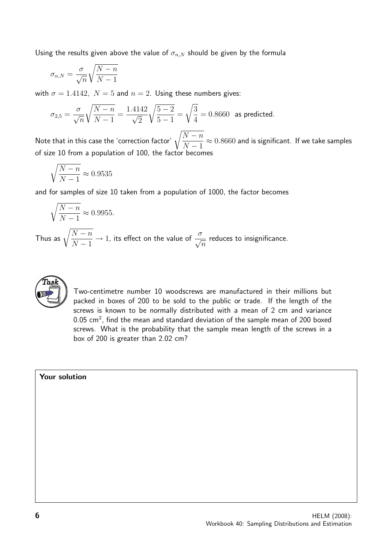Using the results given above the value of  $\sigma_{n,N}$  should be given by the formula

$$
\sigma_{n,N}=\frac{\sigma}{\sqrt{n}}\sqrt{\frac{N-n}{N-1}}
$$

with  $\sigma = 1.4142$ ,  $N = 5$  and  $n = 2$ . Using these numbers gives:

$$
\sigma_{2,5} = \frac{\sigma}{\sqrt{n}} \sqrt{\frac{N-n}{N-1}} = \frac{1.4142}{\sqrt{2}} \sqrt{\frac{5-2}{5-1}} = \sqrt{\frac{3}{4}} = 0.8660 \text{ as predicted.}
$$

Note that in this case the 'correction factor'  $\sqrt{\frac{N-n}{N-1}}$  $N-1$  $\approx 0.8660$  and is significant. If we take samples of size 10 from a population of 100, the factor becomes

$$
\sqrt{\frac{N-n}{N-1}} \approx 0.9535
$$

and for samples of size 10 taken from a population of 1000, the factor becomes

$$
\sqrt{\frac{N-n}{N-1}} \approx 0.9955.
$$

Thus as  $\sqrt{\frac{N-n}{N-1}}$  $N-1$  $\rightarrow$  1, its effect on the value of  $\frac{\sigma}{\sqrt{2}}$  $\overline{n}$ reduces to insignificance.



Two-centimetre number 10 woodscrews are manufactured in their millions but packed in boxes of 200 to be sold to the public or trade. If the length of the screws is known to be normally distributed with a mean of 2 cm and variance 0.05 cm<sup>2</sup>, find the mean and standard deviation of the sample mean of 200 boxed screws. What is the probability that the sample mean length of the screws in a box of 200 is greater than 2.02 cm?

#### Your solution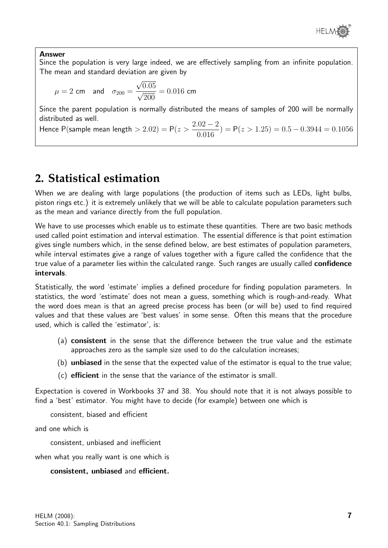

#### Answer

Since the population is very large indeed, we are effectively sampling from an infinite population. The mean and standard deviation are given by

$$
\mu = 2
$$
 cm and  $\sigma_{200} = \frac{\sqrt{0.05}}{\sqrt{200}} = 0.016$  cm

Since the parent population is normally distributed the means of samples of 200 will be normally distributed as well.

Hence P(sample mean length  $> 2.02$ ) = P( $z >$  $2.02 - 2$ 0.016  $) = P(z > 1.25) = 0.5 - 0.3944 = 0.1056$ 

# **2. Statistical estimation**

When we are dealing with large populations (the production of items such as LEDs, light bulbs, piston rings etc.) it is extremely unlikely that we will be able to calculate population parameters such as the mean and variance directly from the full population.

We have to use processes which enable us to estimate these quantities. There are two basic methods used called point estimation and interval estimation. The essential difference is that point estimation gives single numbers which, in the sense defined below, are best estimates of population parameters, while interval estimates give a range of values together with a figure called the confidence that the true value of a parameter lies within the calculated range. Such ranges are usually called **confidence** intervals.

Statistically, the word 'estimate' implies a defined procedure for finding population parameters. In statistics, the word 'estimate' does not mean a guess, something which is rough-and-ready. What the word does mean is that an agreed precise process has been (or will be) used to find required values and that these values are 'best values' in some sense. Often this means that the procedure used, which is called the 'estimator', is:

- (a) consistent in the sense that the difference between the true value and the estimate approaches zero as the sample size used to do the calculation increases;
- (b) unbiased in the sense that the expected value of the estimator is equal to the true value;
- (c) efficient in the sense that the variance of the estimator is small.

Expectation is covered in Workbooks 37 and 38. You should note that it is not always possible to find a 'best' estimator. You might have to decide (for example) between one which is

consistent, biased and efficient

and one which is

consistent, unbiased and inefficient

when what you really want is one which is

#### consistent, unbiased and efficient.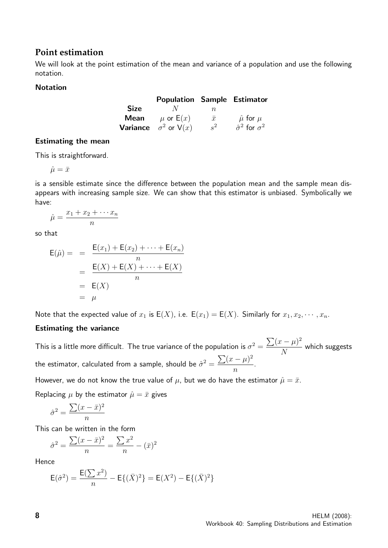#### **Point estimation**

We will look at the point estimation of the mean and variance of a population and use the following notation.

#### Notation

|             | <b>Population Sample Estimator</b>   |           |                                 |
|-------------|--------------------------------------|-----------|---------------------------------|
| <b>Size</b> | $N_{\rm}$                            | n.        |                                 |
| Mean        | $\mu$ or $\mathsf{E}(x)$             | $\bar{x}$ | $\hat{\mu}$ for $\mu$           |
|             | <b>Variance</b> $\sigma^2$ or $V(x)$ | $s^2$     | $\hat{\sigma}^2$ for $\sigma^2$ |

#### Estimating the mean

This is straightforward.

$$
\hat{\mu} = \bar{x}
$$

is a sensible estimate since the difference between the population mean and the sample mean disappears with increasing sample size. We can show that this estimator is unbiased. Symbolically we have:

$$
\hat{\mu} = \frac{x_1 + x_2 + \dots + x_n}{n}
$$

so that

$$
E(\hat{\mu}) = \frac{E(x_1) + E(x_2) + \dots + E(x_n)}{n}
$$

$$
= \frac{E(X) + E(X) + \dots + E(X)}{n}
$$

$$
= E(X)
$$

$$
= \mu
$$

Note that the expected value of  $x_1$  is  $E(X)$ , i.e.  $E(x_1) = E(X)$ . Similarly for  $x_1, x_2, \dots, x_n$ .

#### Estimating the variance

This is a little more difficult. The true variance of the population is  $\sigma^2 = \frac{\sum (x - \mu)^2}{N}$ N which suggests the estimator, calculated from a sample, should be  $\hat{\sigma}^2 = \frac{\sum (x - \mu)^2}{\sigma^2}$ n .

However, we do not know the true value of  $\mu$ , but we do have the estimator  $\hat{\mu} = \bar{x}$ .

Replacing  $\mu$  by the estimator  $\hat{\mu} = \bar{x}$  gives

$$
\hat{\sigma}^2 = \frac{\sum (x - \bar{x})^2}{n}
$$

This can be written in the form

$$
\hat{\sigma}^2 = \frac{\sum (x - \bar{x})^2}{n} = \frac{\sum x^2}{n} - (\bar{x})^2
$$

Hence

$$
E(\hat{\sigma}^2) = \frac{E(\sum x^2)}{n} - E\{(\bar{X})^2\} = E(X^2) - E\{(\bar{X})^2\}
$$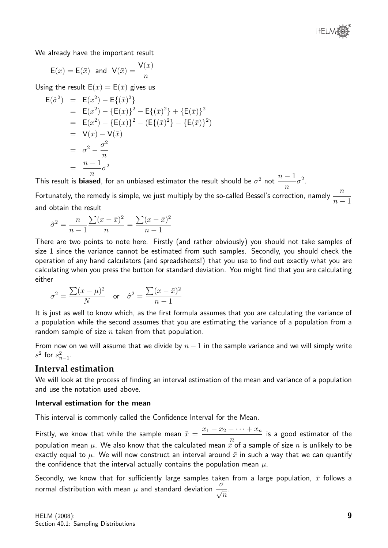

We already have the important result

$$
E(x) = E(\bar{x})
$$
 and  $V(\bar{x}) = \frac{V(x)}{n}$ 

Using the result  $E(x) = E(\bar{x})$  gives us

$$
E(\hat{\sigma}^2) = E(x^2) - E\{(\bar{x})^2\}
$$
  
\n
$$
= E(x^2) - \{E(x)\}^2 - E\{(\bar{x})^2\} + \{E(\bar{x})\}^2
$$
  
\n
$$
= E(x^2) - \{E(x)\}^2 - (E\{(\bar{x})^2\} - \{E(\bar{x})\}^2)
$$
  
\n
$$
= V(x) - V(\bar{x})
$$
  
\n
$$
= \sigma^2 - \frac{\sigma^2}{n}
$$
  
\n
$$
= \frac{n-1}{n}\sigma^2
$$

This result is **biased**, for an unbiased estimator the result should be  $\sigma^2$  not  $\frac{n-1}{\sigma^2}$ n  $\sigma^2$ .

Fortunately, the remedy is simple, we just multiply by the so-called Bessel's correction, namely  $\frac{n}{\sqrt{2}}$  $n-1$ and obtain the result

$$
\hat{\sigma}^2 = \frac{n}{n-1} \frac{\sum (x - \bar{x})^2}{n} = \frac{\sum (x - \bar{x})^2}{n-1}
$$

There are two points to note here. Firstly (and rather obviously) you should not take samples of size 1 since the variance cannot be estimated from such samples. Secondly, you should check the operation of any hand calculators (and spreadsheets!) that you use to find out exactly what you are calculating when you press the button for standard deviation. You might find that you are calculating either

$$
\sigma^2 = \frac{\sum (x - \mu)^2}{N} \quad \text{or} \quad \hat{\sigma}^2 = \frac{\sum (x - \bar{x})^2}{n - 1}
$$

It is just as well to know which, as the first formula assumes that you are calculating the variance of a population while the second assumes that you are estimating the variance of a population from a random sample of size  $n$  taken from that population.

From now on we will assume that we divide by  $n - 1$  in the sample variance and we will simply write  $s^2$  for  $s_{n-1}^2$ .

#### **Interval estimation**

We will look at the process of finding an interval estimation of the mean and variance of a population and use the notation used above.

#### Interval estimation for the mean

This interval is commonly called the Confidence Interval for the Mean.

Firstly, we know that while the sample mean  $\bar{x} = \frac{x_1 + x_2 + \cdots + x_n}{x_n}$ n is a good estimator of the population mean  $\mu$ . We also know that the calculated mean  $\vec{x}$  of a sample of size n is unlikely to be exactly equal to  $\mu$ . We will now construct an interval around  $\bar{x}$  in such a way that we can quantify the confidence that the interval actually contains the population mean  $\mu$ .

Secondly, we know that for sufficiently large samples taken from a large population,  $\bar{x}$  follows a normal distribution with mean  $\mu$  and standard deviation  $\frac{\sigma}{\sqrt{2}}$  $\overline{n}$ .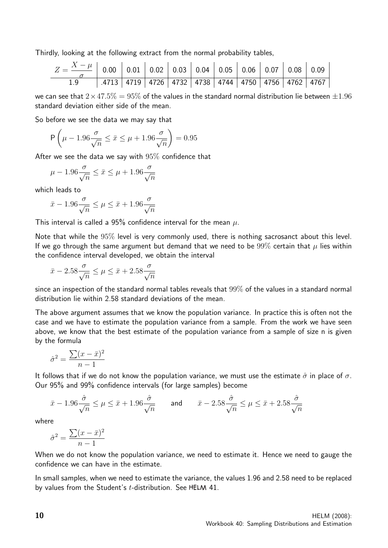Thirdly, looking at the following extract from the normal probability tables,

| $Z = \frac{X-\mu}{\rho}$   0.00   0.01   0.02   0.03   0.04   0.05   0.06   0.07   0.08   0.09 |                                                                      |  |  |  |  |  |
|------------------------------------------------------------------------------------------------|----------------------------------------------------------------------|--|--|--|--|--|
|                                                                                                | .4713   4719   4726   4732   4738   4744   4750   4756   4762   4767 |  |  |  |  |  |

we can see that  $2\times47.5\% = 95\%$  of the values in the standard normal distribution lie between  $\pm1.96$ standard deviation either side of the mean.

So before we see the data we may say that

$$
\mathsf{P}\left(\mu - 1.96\frac{\sigma}{\sqrt{n}} \le \bar{x} \le \mu + 1.96\frac{\sigma}{\sqrt{n}}\right) = 0.95
$$

After we see the data we say with  $95\%$  confidence that

$$
\mu-1.96\frac{\sigma}{\sqrt{n}}\leq \bar{x}\leq \mu+1.96\frac{\sigma}{\sqrt{n}}
$$

which leads to

$$
\bar{x}-1.96\frac{\sigma}{\sqrt{n}}\leq\mu\leq\bar{x}+1.96\frac{\sigma}{\sqrt{n}}
$$

This interval is called a 95% confidence interval for the mean  $\mu$ .

Note that while the 95% level is very commonly used, there is nothing sacrosanct about this level. If we go through the same argument but demand that we need to be  $99\%$  certain that  $\mu$  lies within the confidence interval developed, we obtain the interval

$$
\bar{x} - 2.58 \frac{\sigma}{\sqrt{n}} \le \mu \le \bar{x} + 2.58 \frac{\sigma}{\sqrt{n}}
$$

since an inspection of the standard normal tables reveals that 99% of the values in a standard normal distribution lie within 2.58 standard deviations of the mean.

The above argument assumes that we know the population variance. In practice this is often not the case and we have to estimate the population variance from a sample. From the work we have seen above, we know that the best estimate of the population variance from a sample of size n is given by the formula

$$
\hat{\sigma}^2 = \frac{\sum (x - \bar{x})^2}{n - 1}
$$

It follows that if we do not know the population variance, we must use the estimate  $\hat{\sigma}$  in place of  $\sigma$ . Our 95% and 99% confidence intervals (for large samples) become

$$
\bar{x} - 1.96 \frac{\hat{\sigma}}{\sqrt{n}} \le \mu \le \bar{x} + 1.96 \frac{\hat{\sigma}}{\sqrt{n}} \qquad \text{and} \qquad \bar{x} - 2.58 \frac{\hat{\sigma}}{\sqrt{n}} \le \mu \le \bar{x} + 2.58 \frac{\hat{\sigma}}{\sqrt{n}}
$$

where

$$
\hat{\sigma}^2 = \frac{\sum (x - \bar{x})^2}{n - 1}
$$

When we do not know the population variance, we need to estimate it. Hence we need to gauge the confidence we can have in the estimate.

In small samples, when we need to estimate the variance, the values 1.96 and 2.58 need to be replaced by values from the Student's  $t$ -distribution. See HELM 41.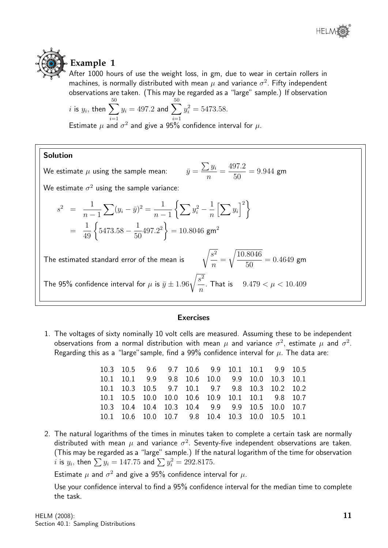



# **Example 1**

After 1000 hours of use the weight loss, in gm, due to wear in certain rollers in machines, is normally distributed with mean  $\mu$  and variance  $\sigma^2$ . Fifty independent observations are taken. (This may be regarded as a "large" sample.) If observation

*i* is 
$$
y_i
$$
, then  $\sum_{i=1}^{50} y_i = 497.2$  and  $\sum_{i=1}^{50} y_i^2 = 5473.58$ .

Estimate  $\mu$  and  $\sigma^2$  and give a 95% confidence interval for  $\mu$ .

#### Solution

We estimate  $\mu$  using the sample mean:  $\sum y_i$ n = 497.2 50  $= 9.944$  gm We estimate  $\sigma^2$  using the sample variance:  $s^2 = \frac{1}{1}$  $\frac{1}{n-1}\sum(y_i - \bar{y})^2 = \frac{1}{n-1}$  $n-1$  $\left\{\sum y_i^2 - \frac{1}{n}\right\}$  $\frac{1}{n} \left[ \sum y_i \right]^2 \Bigg\}$ =  $rac{1}{49}$  $5473.58 - \frac{1}{56}$ 50  $\left\{ 497.2^{2}\right\} =10.8046$  gm $^{2}$ The estimated standard error of the mean is  $\sqrt{s^2 + r^2}$ n = r 10.8046 50  $= 0.4649$  gm The 95% confidence interval for  $\mu$  is  $\bar y \pm 1.96\sqrt{\frac{s^2}{2}}$ n . That is  $9.479 < \mu < 10.409$ 

#### **Exercises**

1. The voltages of sixty nominally 10 volt cells are measured. Assuming these to be independent observations from a normal distribution with mean  $\mu$  and variance  $\sigma^2$ , estimate  $\mu$  and  $\sigma^2.$ Regarding this as a "large" sample, find a 99% confidence interval for  $\mu$ . The data are:

|  | 10.3 10.5 9.6 9.7 10.6 9.9 10.1 10.1 9.9 10.5    |  |  |  |
|--|--------------------------------------------------|--|--|--|
|  | 10.1 10.1 9.9 9.8 10.6 10.0 9.9 10.0 10.3 10.1   |  |  |  |
|  | 10.1 10.3 10.5 9.7 10.1 9.7 9.8 10.3 10.2 10.2   |  |  |  |
|  | 10.1 10.5 10.0 10.0 10.6 10.9 10.1 10.1 9.8 10.7 |  |  |  |
|  | 10.3 10.4 10.4 10.3 10.4 9.9 9.9 10.5 10.0 10.7  |  |  |  |
|  | 10.1 10.6 10.0 10.7 9.8 10.4 10.3 10.0 10.5 10.1 |  |  |  |

2. The natural logarithms of the times in minutes taken to complete a certain task are normally distributed with mean  $\mu$  and variance  $\sigma^2$ . Seventy-five independent observations are taken. (This may be regarded as a "large" sample.) If the natural logarithm of the time for observation  $i$  is  $y_i$ , then  $\sum y_i = 147.75$  and  $\sum y_i^2 = 292.8175$ .

Estimate  $\mu$  and  $\sigma^2$  and give a 95% confidence interval for  $\mu$ .

Use your confidence interval to find a 95% confidence interval for the median time to complete the task.